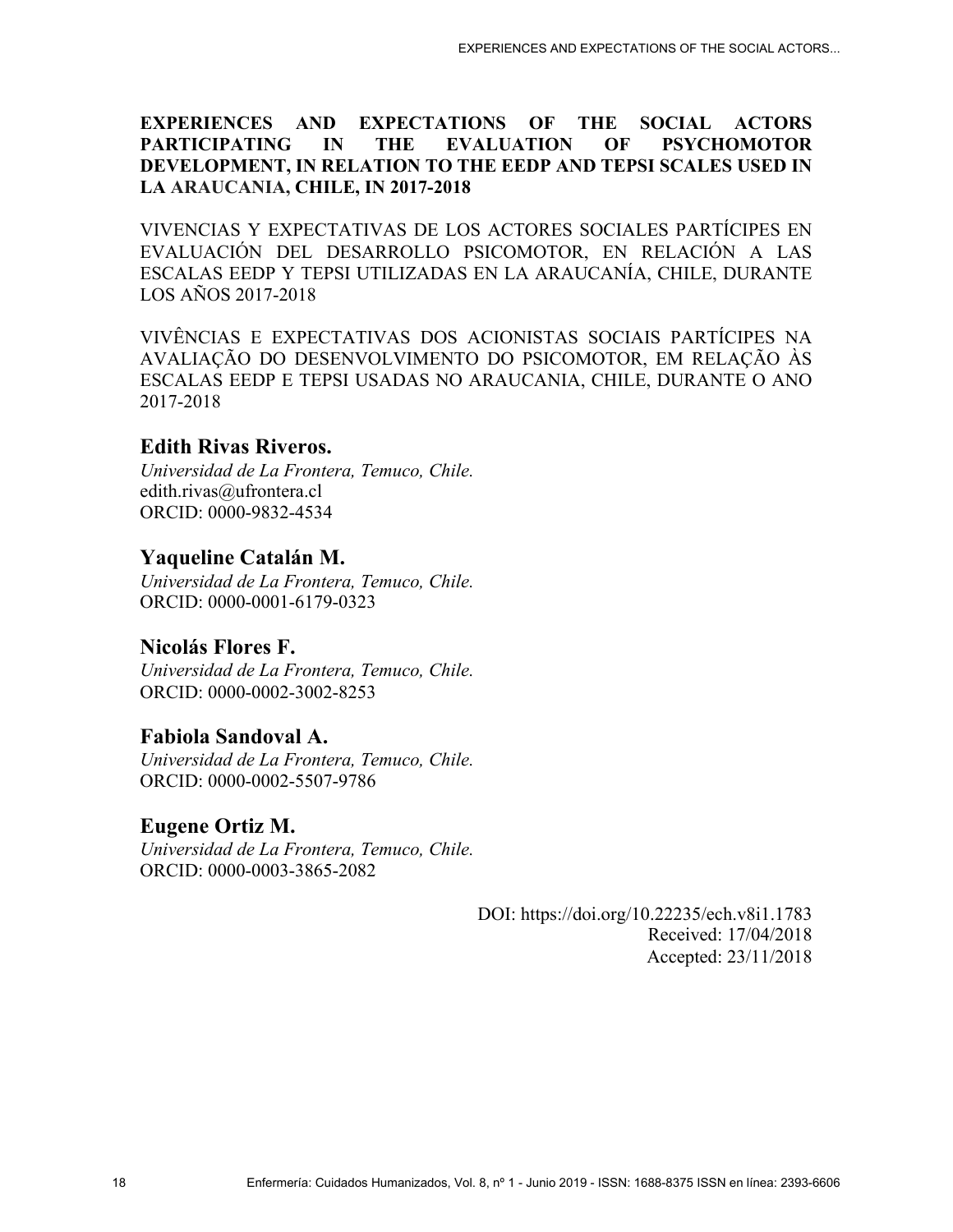## **EXPERIENCES AND EXPECTATIONS OF THE SOCIAL ACTORS PARTICIPATING IN THE EVALUATION OF PSYCHOMOTOR DEVELOPMENT, IN RELATION TO THE EEDP AND TEPSI SCALES USED IN LA ARAUCANIA, CHILE, IN 2017-2018**

VIVENCIAS Y EXPECTATIVAS DE LOS ACTORES SOCIALES PARTÍCIPES EN EVALUACIÓN DEL DESARROLLO PSICOMOTOR, EN RELACIÓN A LAS ESCALAS EEDP Y TEPSI UTILIZADAS EN LA ARAUCANÍA, CHILE, DURANTE LOS AÑOS 2017-2018

VIVÊNCIAS E EXPECTATIVAS DOS ACIONISTAS SOCIAIS PARTÍCIPES NA AVALIAÇÃO DO DESENVOLVIMENTO DO PSICOMOTOR, EM RELAÇÃO ÀS ESCALAS EEDP E TEPSI USADAS NO ARAUCANIA, CHILE, DURANTE O ANO 2017-2018

## **Edith Rivas Riveros.**

*Universidad de La Frontera, Temuco, Chile.*  edith.rivas@ufrontera.cl ORCID: 0000-9832-4534

# **Yaqueline Catalán M.**

*Universidad de La Frontera, Temuco, Chile.*  ORCID: 0000-0001-6179-0323

# **Nicolás Flores F.**

*Universidad de La Frontera, Temuco, Chile.*  ORCID: 0000-0002-3002-8253

# **Fabiola Sandoval A.**

*Universidad de La Frontera, Temuco, Chile.*  ORCID: 0000-0002-5507-9786

## **Eugene Ortiz M.**

*Universidad de La Frontera, Temuco, Chile.*  ORCID: 0000-0003-3865-2082

> DOI: https://doi.org/10.22235/ech.v8i1.1783 Received: 17/04/2018 Accepted: 23/11/2018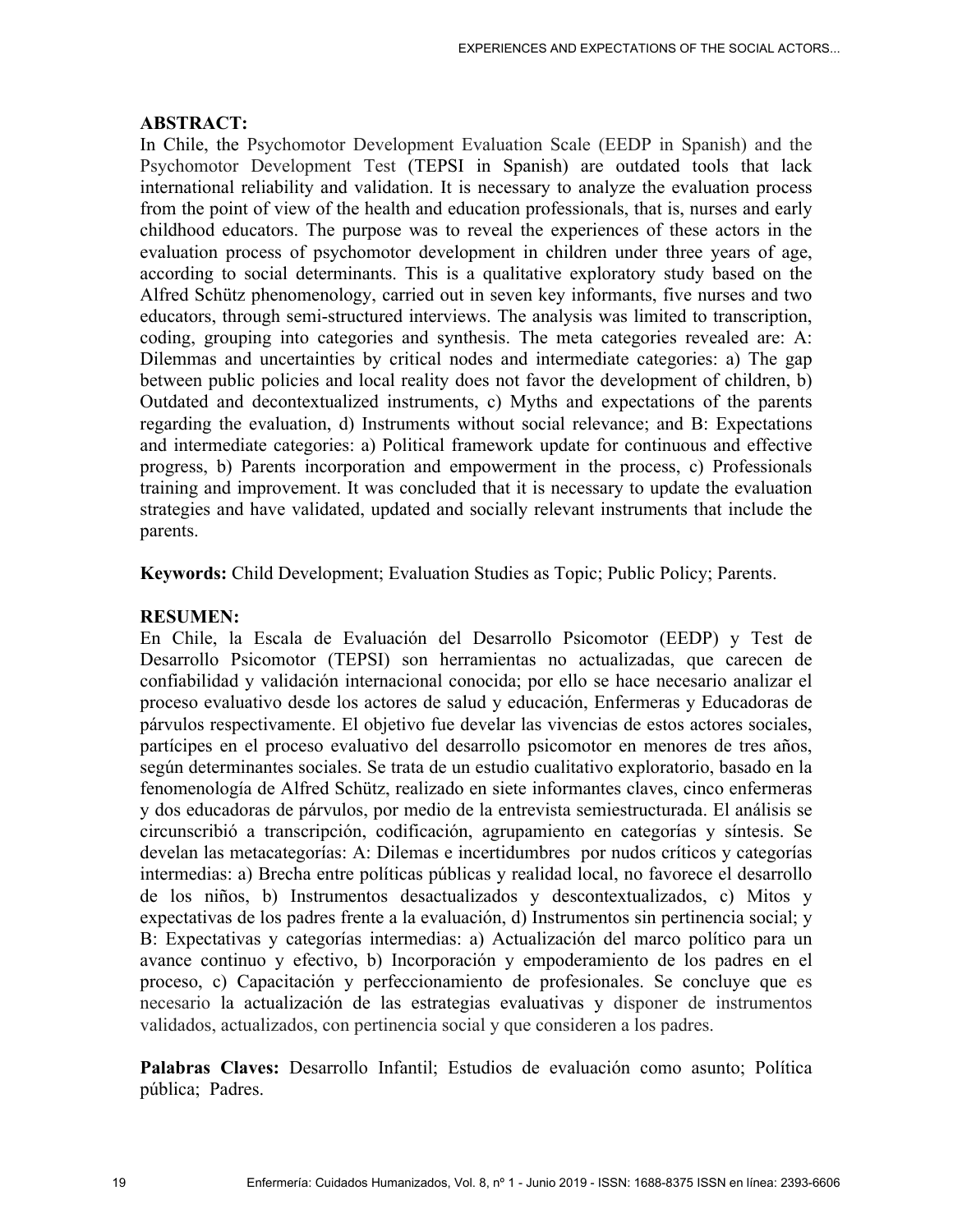#### **ABSTRACT:**

In Chile, the Psychomotor Development Evaluation Scale (EEDP in Spanish) and the Psychomotor Development Test (TEPSI in Spanish) are outdated tools that lack international reliability and validation. It is necessary to analyze the evaluation process from the point of view of the health and education professionals, that is, nurses and early childhood educators. The purpose was to reveal the experiences of these actors in the evaluation process of psychomotor development in children under three years of age, according to social determinants. This is a qualitative exploratory study based on the Alfred Schütz phenomenology, carried out in seven key informants, five nurses and two educators, through semi-structured interviews. The analysis was limited to transcription, coding, grouping into categories and synthesis. The meta categories revealed are: A: Dilemmas and uncertainties by critical nodes and intermediate categories: a) The gap between public policies and local reality does not favor the development of children, b) Outdated and decontextualized instruments, c) Myths and expectations of the parents regarding the evaluation, d) Instruments without social relevance; and B: Expectations and intermediate categories: a) Political framework update for continuous and effective progress, b) Parents incorporation and empowerment in the process, c) Professionals training and improvement. It was concluded that it is necessary to update the evaluation strategies and have validated, updated and socially relevant instruments that include the parents.

**Keywords:** Child Development; Evaluation Studies as Topic; Public Policy; Parents.

#### **RESUMEN:**

En Chile, la Escala de Evaluación del Desarrollo Psicomotor (EEDP) y Test de Desarrollo Psicomotor (TEPSI) son herramientas no actualizadas, que carecen de confiabilidad y validación internacional conocida; por ello se hace necesario analizar el proceso evaluativo desde los actores de salud y educación, Enfermeras y Educadoras de párvulos respectivamente. El objetivo fue develar las vivencias de estos actores sociales, partícipes en el proceso evaluativo del desarrollo psicomotor en menores de tres años, según determinantes sociales. Se trata de un estudio cualitativo exploratorio, basado en la fenomenología de Alfred Schütz, realizado en siete informantes claves, cinco enfermeras y dos educadoras de párvulos, por medio de la entrevista semiestructurada. El análisis se circunscribió a transcripción, codificación, agrupamiento en categorías y síntesis. Se develan las metacategorías: A: Dilemas e incertidumbres por nudos críticos y categorías intermedias: a) Brecha entre políticas públicas y realidad local, no favorece el desarrollo de los niños, b) Instrumentos desactualizados y descontextualizados, c) Mitos y expectativas de los padres frente a la evaluación, d) Instrumentos sin pertinencia social; y B: Expectativas y categorías intermedias: a) Actualización del marco político para un avance continuo y efectivo, b) Incorporación y empoderamiento de los padres en el proceso, c) Capacitación y perfeccionamiento de profesionales. Se concluye que es necesario la actualización de las estrategias evaluativas y disponer de instrumentos validados, actualizados, con pertinencia social y que consideren a los padres.

**Palabras Claves:** Desarrollo Infantil; Estudios de evaluación como asunto; Política pública; Padres.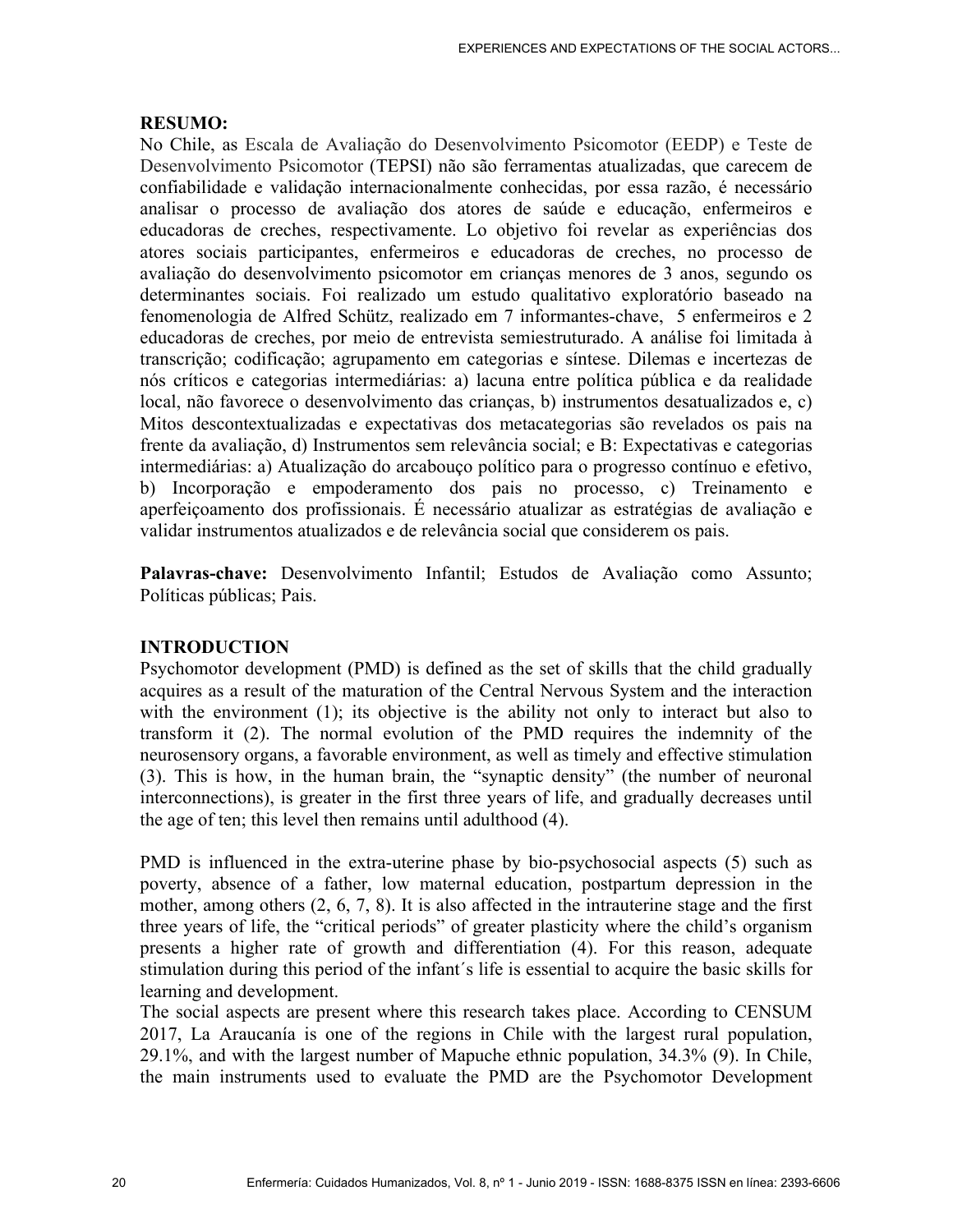#### **RESUMO:**

No Chile, as Escala de Avaliação do Desenvolvimento Psicomotor (EEDP) e Teste de Desenvolvimento Psicomotor (TEPSI) não são ferramentas atualizadas, que carecem de confiabilidade e validação internacionalmente conhecidas, por essa razão, é necessário analisar o processo de avaliação dos atores de saúde e educação, enfermeiros e educadoras de creches, respectivamente. Lo objetivo foi revelar as experiências dos atores sociais participantes, enfermeiros e educadoras de creches, no processo de avaliação do desenvolvimento psicomotor em crianças menores de 3 anos, segundo os determinantes sociais. Foi realizado um estudo qualitativo exploratório baseado na fenomenologia de Alfred Schütz, realizado em 7 informantes-chave, 5 enfermeiros e 2 educadoras de creches, por meio de entrevista semiestruturado. A análise foi limitada à transcrição; codificação; agrupamento em categorias e síntese. Dilemas e incertezas de nós críticos e categorias intermediárias: a) lacuna entre política pública e da realidade local, não favorece o desenvolvimento das crianças, b) instrumentos desatualizados e, c) Mitos descontextualizadas e expectativas dos metacategorias são revelados os pais na frente da avaliação, d) Instrumentos sem relevância social; e B: Expectativas e categorias intermediárias: a) Atualização do arcabouço político para o progresso contínuo e efetivo, b) Incorporação e empoderamento dos pais no processo, c) Treinamento e aperfeiçoamento dos profissionais. É necessário atualizar as estratégias de avaliação e validar instrumentos atualizados e de relevância social que considerem os pais.

**Palavras-chave:** Desenvolvimento Infantil; Estudos de Avaliação como Assunto; Políticas públicas; Pais.

#### **INTRODUCTION**

Psychomotor development (PMD) is defined as the set of skills that the child gradually acquires as a result of the maturation of the Central Nervous System and the interaction with the environment (1); its objective is the ability not only to interact but also to transform it (2). The normal evolution of the PMD requires the indemnity of the neurosensory organs, a favorable environment, as well as timely and effective stimulation (3). This is how, in the human brain, the "synaptic density" (the number of neuronal interconnections), is greater in the first three years of life, and gradually decreases until the age of ten; this level then remains until adulthood (4).

PMD is influenced in the extra-uterine phase by bio-psychosocial aspects (5) such as poverty, absence of a father, low maternal education, postpartum depression in the mother, among others (2, 6, 7, 8). It is also affected in the intrauterine stage and the first three years of life, the "critical periods" of greater plasticity where the child's organism presents a higher rate of growth and differentiation (4). For this reason, adequate stimulation during this period of the infant´s life is essential to acquire the basic skills for learning and development.

The social aspects are present where this research takes place. According to CENSUM 2017, La Araucanía is one of the regions in Chile with the largest rural population, 29.1%, and with the largest number of Mapuche ethnic population, 34.3% (9). In Chile, the main instruments used to evaluate the PMD are the Psychomotor Development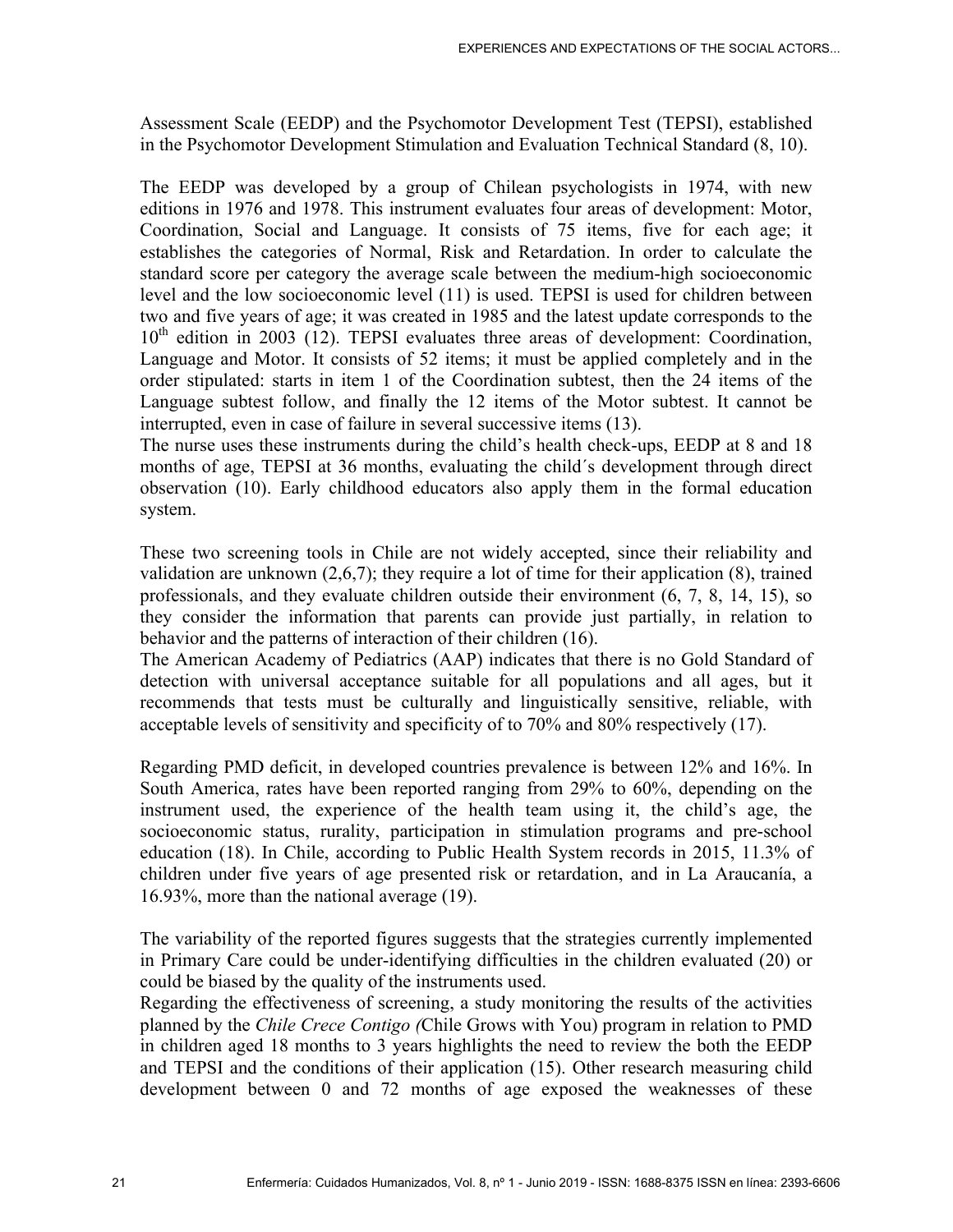Assessment Scale (EEDP) and the Psychomotor Development Test (TEPSI), established in the Psychomotor Development Stimulation and Evaluation Technical Standard (8, 10).

The EEDP was developed by a group of Chilean psychologists in 1974, with new editions in 1976 and 1978. This instrument evaluates four areas of development: Motor, Coordination, Social and Language. It consists of 75 items, five for each age; it establishes the categories of Normal, Risk and Retardation. In order to calculate the standard score per category the average scale between the medium-high socioeconomic level and the low socioeconomic level (11) is used. TEPSI is used for children between two and five years of age; it was created in 1985 and the latest update corresponds to the  $10<sup>th</sup>$  edition in 2003 (12). TEPSI evaluates three areas of development: Coordination, Language and Motor. It consists of 52 items; it must be applied completely and in the order stipulated: starts in item 1 of the Coordination subtest, then the 24 items of the Language subtest follow, and finally the 12 items of the Motor subtest. It cannot be interrupted, even in case of failure in several successive items (13).

The nurse uses these instruments during the child's health check-ups, EEDP at 8 and 18 months of age, TEPSI at 36 months, evaluating the child´s development through direct observation (10). Early childhood educators also apply them in the formal education system.

These two screening tools in Chile are not widely accepted, since their reliability and validation are unknown (2,6,7); they require a lot of time for their application (8), trained professionals, and they evaluate children outside their environment (6, 7, 8, 14, 15), so they consider the information that parents can provide just partially, in relation to behavior and the patterns of interaction of their children (16).

The American Academy of Pediatrics (AAP) indicates that there is no Gold Standard of detection with universal acceptance suitable for all populations and all ages, but it recommends that tests must be culturally and linguistically sensitive, reliable, with acceptable levels of sensitivity and specificity of to 70% and 80% respectively (17).

Regarding PMD deficit, in developed countries prevalence is between 12% and 16%. In South America, rates have been reported ranging from 29% to 60%, depending on the instrument used, the experience of the health team using it, the child's age, the socioeconomic status, rurality, participation in stimulation programs and pre-school education (18). In Chile, according to Public Health System records in 2015, 11.3% of children under five years of age presented risk or retardation, and in La Araucanía, a 16.93%, more than the national average (19).

The variability of the reported figures suggests that the strategies currently implemented in Primary Care could be under-identifying difficulties in the children evaluated (20) or could be biased by the quality of the instruments used.

Regarding the effectiveness of screening, a study monitoring the results of the activities planned by the *Chile Crece Contigo (*Chile Grows with You) program in relation to PMD in children aged 18 months to 3 years highlights the need to review the both the EEDP and TEPSI and the conditions of their application (15). Other research measuring child development between 0 and 72 months of age exposed the weaknesses of these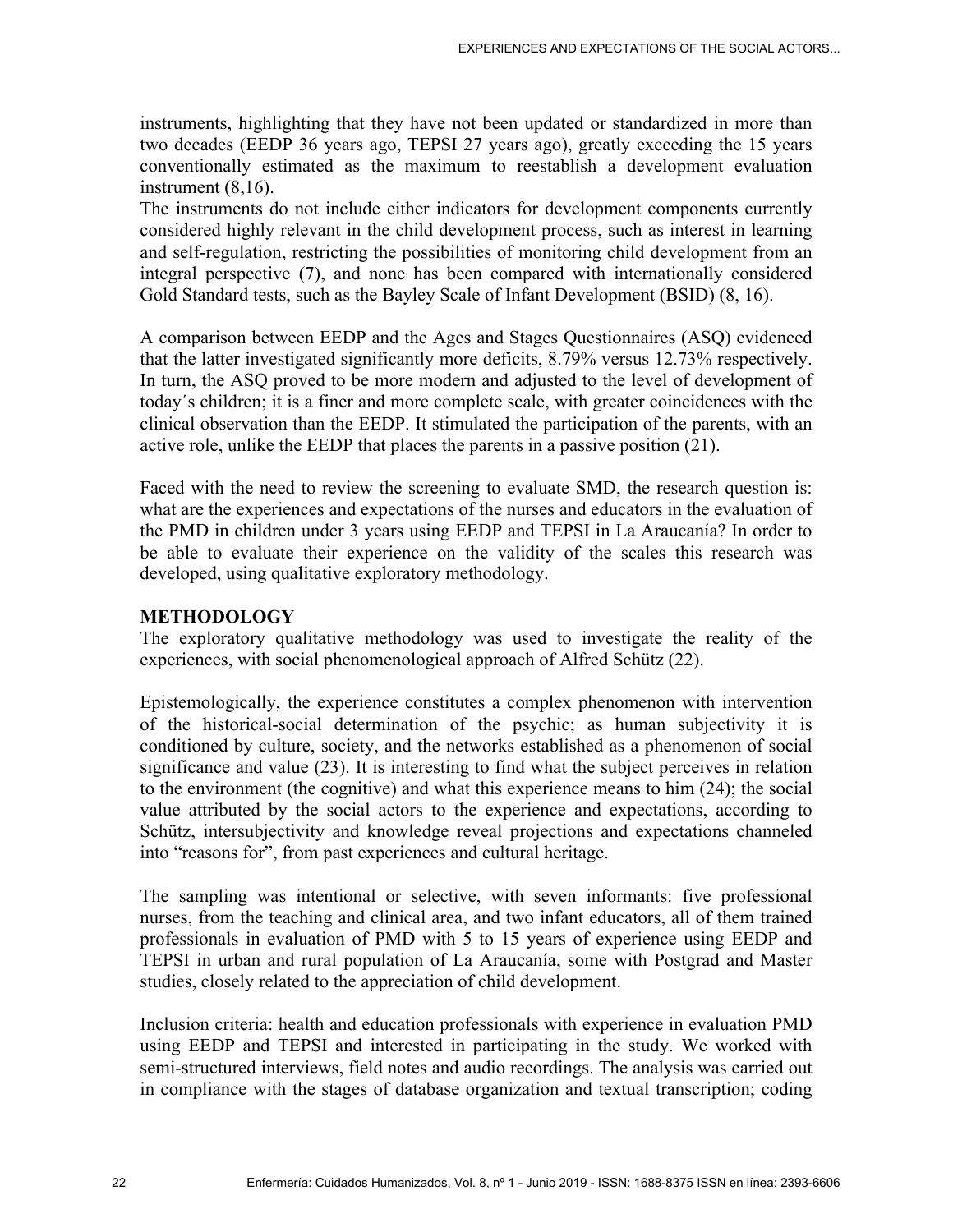instruments, highlighting that they have not been updated or standardized in more than two decades (EEDP 36 years ago, TEPSI 27 years ago), greatly exceeding the 15 years conventionally estimated as the maximum to reestablish a development evaluation instrument (8,16).

The instruments do not include either indicators for development components currently considered highly relevant in the child development process, such as interest in learning and self-regulation, restricting the possibilities of monitoring child development from an integral perspective (7), and none has been compared with internationally considered Gold Standard tests, such as the Bayley Scale of Infant Development (BSID) (8, 16).

A comparison between EEDP and the Ages and Stages Questionnaires (ASQ) evidenced that the latter investigated significantly more deficits, 8.79% versus 12.73% respectively. In turn, the ASQ proved to be more modern and adjusted to the level of development of today´s children; it is a finer and more complete scale, with greater coincidences with the clinical observation than the EEDP. It stimulated the participation of the parents, with an active role, unlike the EEDP that places the parents in a passive position (21).

Faced with the need to review the screening to evaluate SMD, the research question is: what are the experiences and expectations of the nurses and educators in the evaluation of the PMD in children under 3 years using EEDP and TEPSI in La Araucanía? In order to be able to evaluate their experience on the validity of the scales this research was developed, using qualitative exploratory methodology.

### **METHODOLOGY**

The exploratory qualitative methodology was used to investigate the reality of the experiences, with social phenomenological approach of Alfred Schütz (22).

Epistemologically, the experience constitutes a complex phenomenon with intervention of the historical-social determination of the psychic; as human subjectivity it is conditioned by culture, society, and the networks established as a phenomenon of social significance and value (23). It is interesting to find what the subject perceives in relation to the environment (the cognitive) and what this experience means to him (24); the social value attributed by the social actors to the experience and expectations, according to Schütz, intersubjectivity and knowledge reveal projections and expectations channeled into "reasons for", from past experiences and cultural heritage.

The sampling was intentional or selective, with seven informants: five professional nurses, from the teaching and clinical area, and two infant educators, all of them trained professionals in evaluation of PMD with 5 to 15 years of experience using EEDP and TEPSI in urban and rural population of La Araucanía, some with Postgrad and Master studies, closely related to the appreciation of child development.

Inclusion criteria: health and education professionals with experience in evaluation PMD using EEDP and TEPSI and interested in participating in the study. We worked with semi-structured interviews, field notes and audio recordings. The analysis was carried out in compliance with the stages of database organization and textual transcription; coding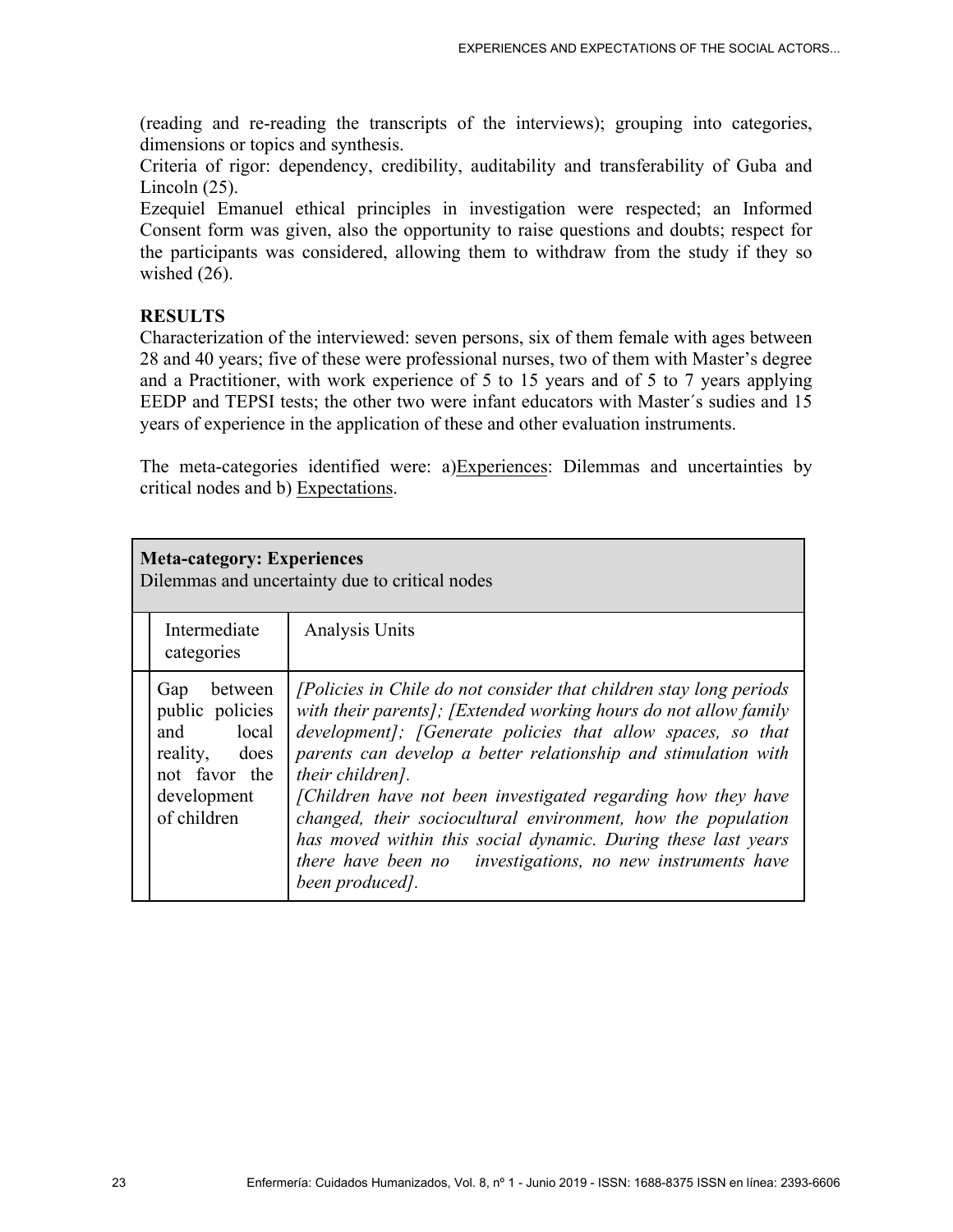(reading and re-reading the transcripts of the interviews); grouping into categories, dimensions or topics and synthesis.

Criteria of rigor: dependency, credibility, auditability and transferability of Guba and Lincoln (25).

Ezequiel Emanuel ethical principles in investigation were respected; an Informed Consent form was given, also the opportunity to raise questions and doubts; respect for the participants was considered, allowing them to withdraw from the study if they so wished  $(26)$ .

## **RESULTS**

Characterization of the interviewed: seven persons, six of them female with ages between 28 and 40 years; five of these were professional nurses, two of them with Master's degree and a Practitioner, with work experience of 5 to 15 years and of 5 to 7 years applying EEDP and TEPSI tests; the other two were infant educators with Master´s sudies and 15 years of experience in the application of these and other evaluation instruments.

The meta-categories identified were: a)Experiences: Dilemmas and uncertainties by critical nodes and b) Expectations.

| <b>Meta-category: Experiences</b><br>Dilemmas and uncertainty due to critical nodes                            |                                                                                                                                                                                                                                                                                                                                                                                                                                                                                                                                                                               |  |  |  |
|----------------------------------------------------------------------------------------------------------------|-------------------------------------------------------------------------------------------------------------------------------------------------------------------------------------------------------------------------------------------------------------------------------------------------------------------------------------------------------------------------------------------------------------------------------------------------------------------------------------------------------------------------------------------------------------------------------|--|--|--|
| Intermediate<br>categories                                                                                     | Analysis Units                                                                                                                                                                                                                                                                                                                                                                                                                                                                                                                                                                |  |  |  |
| between<br>Gap<br>public policies<br>and local<br>reality, does<br>not favor the<br>development<br>of children | [Policies in Chile do not consider that children stay long periods<br>with their parents]; [Extended working hours do not allow family<br>development]; [Generate policies that allow spaces, so that<br>parents can develop a better relationship and stimulation with<br>their children].<br>[Children have not been investigated regarding how they have<br>changed, their sociocultural environment, how the population<br>has moved within this social dynamic. During these last years<br>there have been no investigations, no new instruments have<br>been produced]. |  |  |  |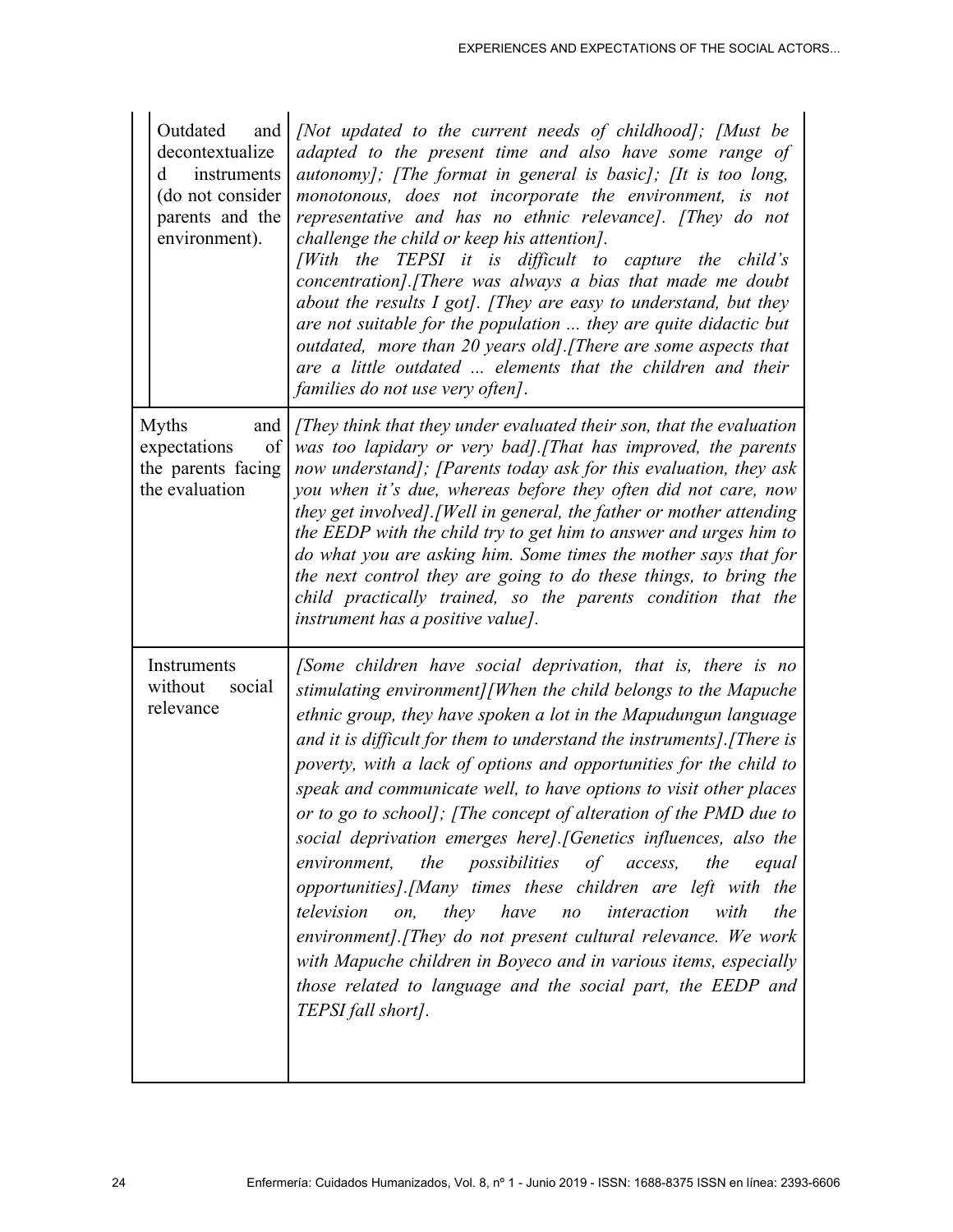|                                                                                   | Outdated<br>and<br>decontextualize<br>instruments<br>d<br>(do not consider<br>parents and the<br>environment). | [Not updated to the current needs of childhood]; [Must be<br>adapted to the present time and also have some range of<br>autonomy]; [The format in general is basic]; [It is too long,<br>monotonous, does not incorporate the environment, is not<br>representative and has no ethnic relevance]. [They do not<br>challenge the child or keep his attention].<br>[With the TEPSI it is difficult to capture the child's<br>concentration]. [There was always a bias that made me doubt<br>about the results I got]. [They are easy to understand, but they<br>are not suitable for the population  they are quite didactic but<br>outdated, more than 20 years old]. [There are some aspects that<br>are a little outdated  elements that the children and their<br>families do not use very often].                                                                                                                                                                                                       |
|-----------------------------------------------------------------------------------|----------------------------------------------------------------------------------------------------------------|------------------------------------------------------------------------------------------------------------------------------------------------------------------------------------------------------------------------------------------------------------------------------------------------------------------------------------------------------------------------------------------------------------------------------------------------------------------------------------------------------------------------------------------------------------------------------------------------------------------------------------------------------------------------------------------------------------------------------------------------------------------------------------------------------------------------------------------------------------------------------------------------------------------------------------------------------------------------------------------------------------|
| <b>Myths</b><br>and<br>of<br>expectations<br>the parents facing<br>the evaluation |                                                                                                                | [They think that they under evaluated their son, that the evaluation<br>was too lapidary or very bad]. [That has improved, the parents<br>now understand]; [Parents today ask for this evaluation, they ask<br>you when it's due, whereas before they often did not care, now<br>they get involved]. [Well in general, the father or mother attending<br>the EEDP with the child try to get him to answer and urges him to<br>do what you are asking him. Some times the mother says that for<br>the next control they are going to do these things, to bring the<br>child practically trained, so the parents condition that the<br><i>instrument has a positive value].</i>                                                                                                                                                                                                                                                                                                                              |
|                                                                                   | Instruments<br>without<br>social<br>relevance                                                                  | [Some children have social deprivation, that is, there is no<br>stimulating environment][When the child belongs to the Mapuche<br>ethnic group, they have spoken a lot in the Mapudungun language<br>and it is difficult for them to understand the instruments]. [There is<br>poverty, with a lack of options and opportunities for the child to<br>speak and communicate well, to have options to visit other places<br>or to go to school]; [The concept of alteration of the PMD due to<br>social deprivation emerges here]. [Genetics influences, also the<br>the<br>possibilities<br>of access,<br>the<br>environment,<br>equal<br>opportunities].[Many times these children are left with the<br>they have<br>interaction<br>the<br>television<br>with<br>on,<br>$n_{O}$<br>environment]. [They do not present cultural relevance. We work<br>with Mapuche children in Boyeco and in various items, especially<br>those related to language and the social part, the EEDP and<br>TEPSI fall short]. |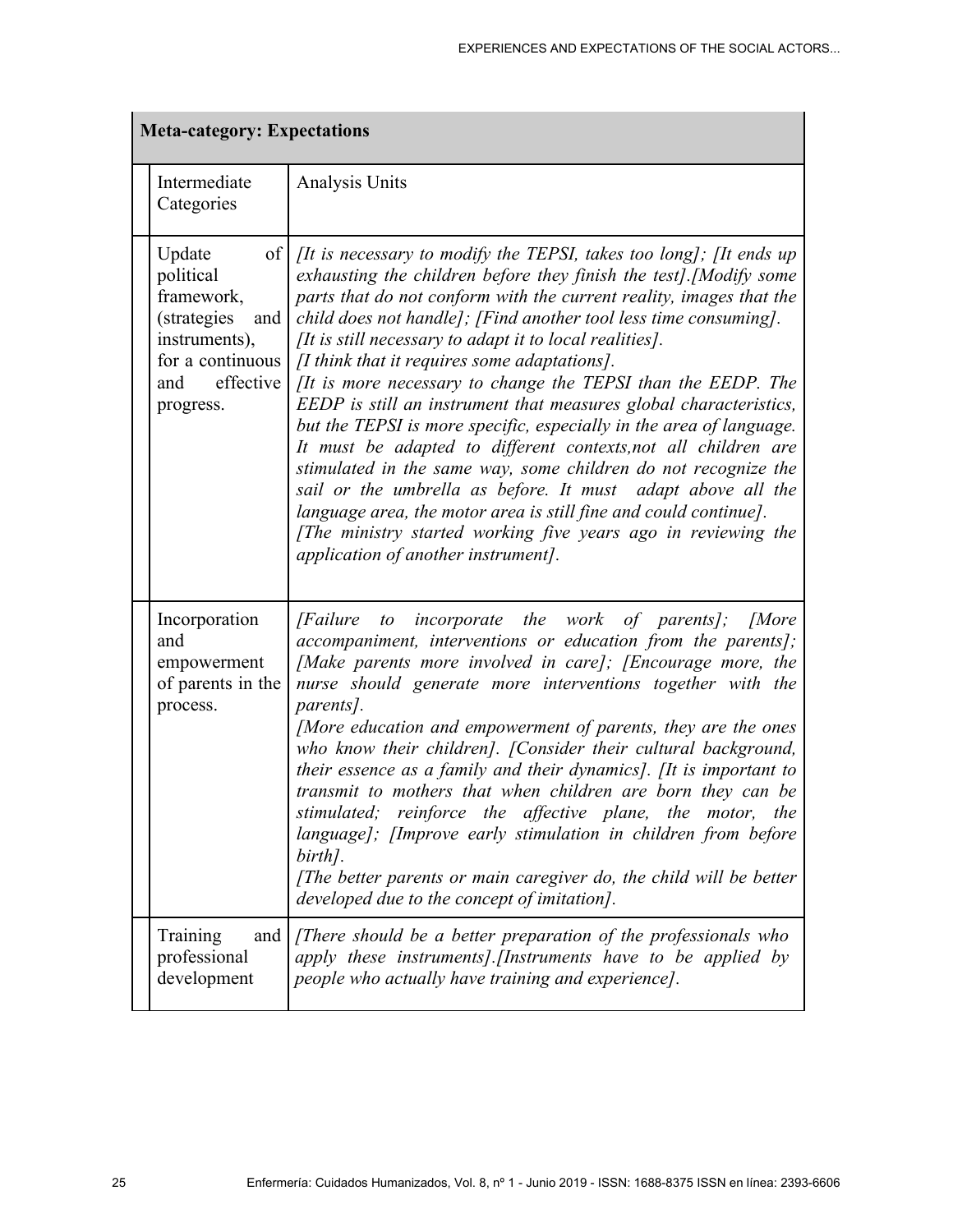| <b>Meta-category: Expectations</b> |                                                                                                                                     |                                                                                                                                                                                                                                                                                                                                                                                                                                                                                                                                                                                                                                                                                                                                                                                                                                                                                                                                                                                                          |  |
|------------------------------------|-------------------------------------------------------------------------------------------------------------------------------------|----------------------------------------------------------------------------------------------------------------------------------------------------------------------------------------------------------------------------------------------------------------------------------------------------------------------------------------------------------------------------------------------------------------------------------------------------------------------------------------------------------------------------------------------------------------------------------------------------------------------------------------------------------------------------------------------------------------------------------------------------------------------------------------------------------------------------------------------------------------------------------------------------------------------------------------------------------------------------------------------------------|--|
|                                    | Intermediate<br>Categories                                                                                                          | Analysis Units                                                                                                                                                                                                                                                                                                                                                                                                                                                                                                                                                                                                                                                                                                                                                                                                                                                                                                                                                                                           |  |
|                                    | Update<br>of<br>political<br>framework,<br>(strategies<br>and<br>instruments),<br>for a continuous<br>effective<br>and<br>progress. | <i>IIt is necessary to modify the TEPSI, takes too long]; IIt ends up</i><br>exhausting the children before they finish the test]. [Modify some<br>parts that do not conform with the current reality, images that the<br>child does not handle]; [Find another tool less time consuming].<br>$[It is still necessary to adapt it to local realities].$<br>$\int I$ think that it requires some adaptations].<br>[It is more necessary to change the TEPSI than the EEDP. The<br>EEDP is still an instrument that measures global characteristics,<br>but the TEPSI is more specific, especially in the area of language.<br>It must be adapted to different contexts, not all children are<br>stimulated in the same way, some children do not recognize the<br>sail or the umbrella as before. It must adapt above all the<br>language area, the motor area is still fine and could continue].<br>[The ministry started working five years ago in reviewing the<br>application of another instrument]. |  |
|                                    | Incorporation<br>and<br>empowerment<br>of parents in the<br>process.                                                                | [Failure to incorporate the work of parents]; [More<br>accompaniment, interventions or education from the parents];<br>[Make parents more involved in care]; [Encourage more, the<br>nurse should generate more interventions together with the<br>parents].<br>[More education and empowerment of parents, they are the ones<br>who know their children]. [Consider their cultural background,<br>their essence as a family and their dynamics]. [It is important to<br>transmit to mothers that when children are born they can be<br>stimulated; reinforce the affective plane, the<br>motor,<br>the<br>language]; [Improve early stimulation in children from before<br>birth].<br>[The better parents or main caregiver do, the child will be better<br>developed due to the concept of imitation].                                                                                                                                                                                                 |  |
|                                    | Training<br>and<br>professional<br>development                                                                                      | [There should be a better preparation of the professionals who<br>apply these instruments]. [Instruments have to be applied by<br>people who actually have training and experience].                                                                                                                                                                                                                                                                                                                                                                                                                                                                                                                                                                                                                                                                                                                                                                                                                     |  |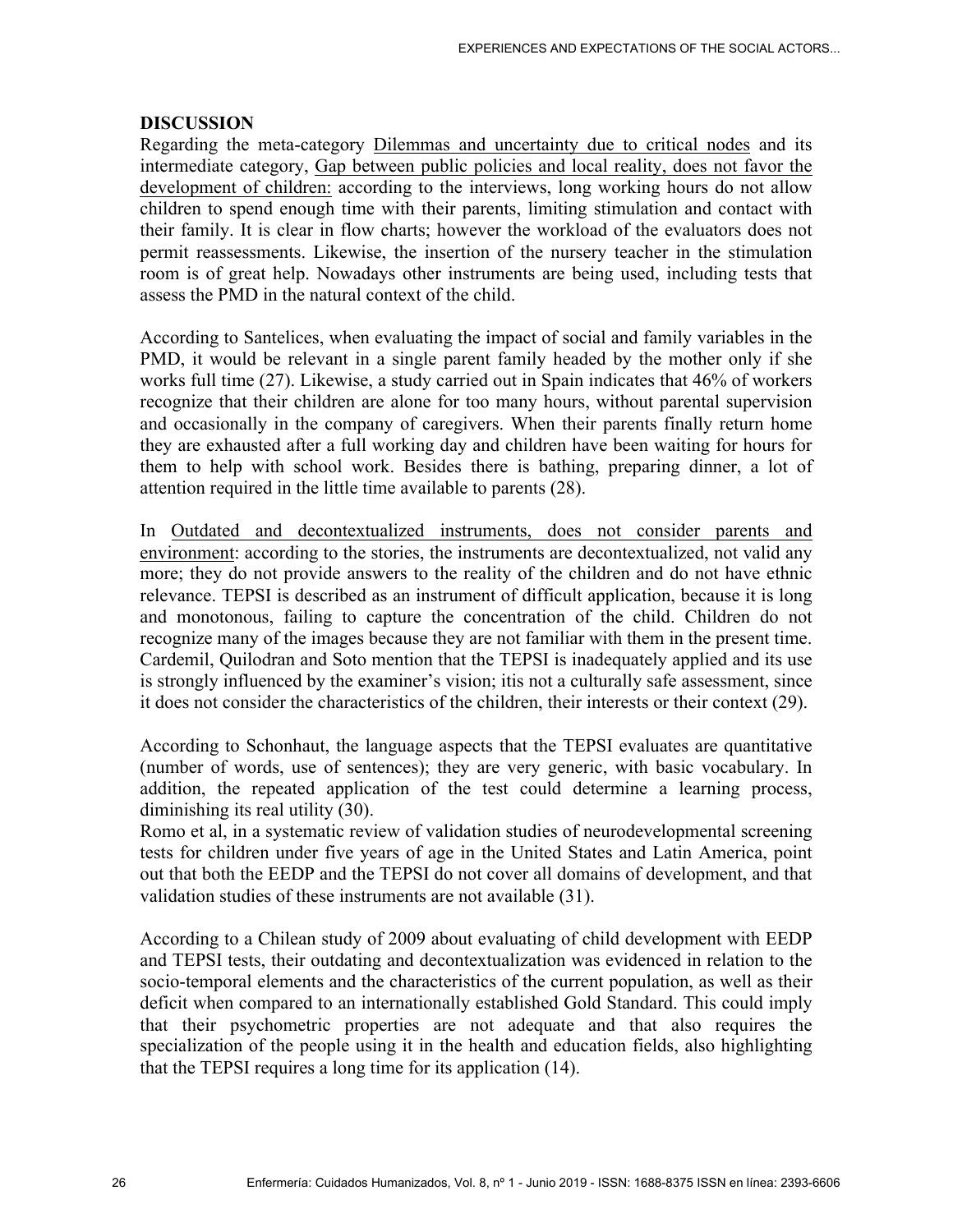#### **DISCUSSION**

Regarding the meta-category Dilemmas and uncertainty due to critical nodes and its intermediate category, Gap between public policies and local reality, does not favor the development of children: according to the interviews, long working hours do not allow children to spend enough time with their parents, limiting stimulation and contact with their family. It is clear in flow charts; however the workload of the evaluators does not permit reassessments. Likewise, the insertion of the nursery teacher in the stimulation room is of great help. Nowadays other instruments are being used, including tests that assess the PMD in the natural context of the child.

According to Santelices, when evaluating the impact of social and family variables in the PMD, it would be relevant in a single parent family headed by the mother only if she works full time (27). Likewise, a study carried out in Spain indicates that 46% of workers recognize that their children are alone for too many hours, without parental supervision and occasionally in the company of caregivers. When their parents finally return home they are exhausted after a full working day and children have been waiting for hours for them to help with school work. Besides there is bathing, preparing dinner, a lot of attention required in the little time available to parents (28).

In Outdated and decontextualized instruments, does not consider parents and environment: according to the stories, the instruments are decontextualized, not valid any more; they do not provide answers to the reality of the children and do not have ethnic relevance. TEPSI is described as an instrument of difficult application, because it is long and monotonous, failing to capture the concentration of the child. Children do not recognize many of the images because they are not familiar with them in the present time. Cardemil, Quilodran and Soto mention that the TEPSI is inadequately applied and its use is strongly influenced by the examiner's vision; itis not a culturally safe assessment, since it does not consider the characteristics of the children, their interests or their context (29).

According to Schonhaut, the language aspects that the TEPSI evaluates are quantitative (number of words, use of sentences); they are very generic, with basic vocabulary. In addition, the repeated application of the test could determine a learning process, diminishing its real utility (30).

Romo et al, in a systematic review of validation studies of neurodevelopmental screening tests for children under five years of age in the United States and Latin America, point out that both the EEDP and the TEPSI do not cover all domains of development, and that validation studies of these instruments are not available (31).

According to a Chilean study of 2009 about evaluating of child development with EEDP and TEPSI tests, their outdating and decontextualization was evidenced in relation to the socio-temporal elements and the characteristics of the current population, as well as their deficit when compared to an internationally established Gold Standard. This could imply that their psychometric properties are not adequate and that also requires the specialization of the people using it in the health and education fields, also highlighting that the TEPSI requires a long time for its application (14).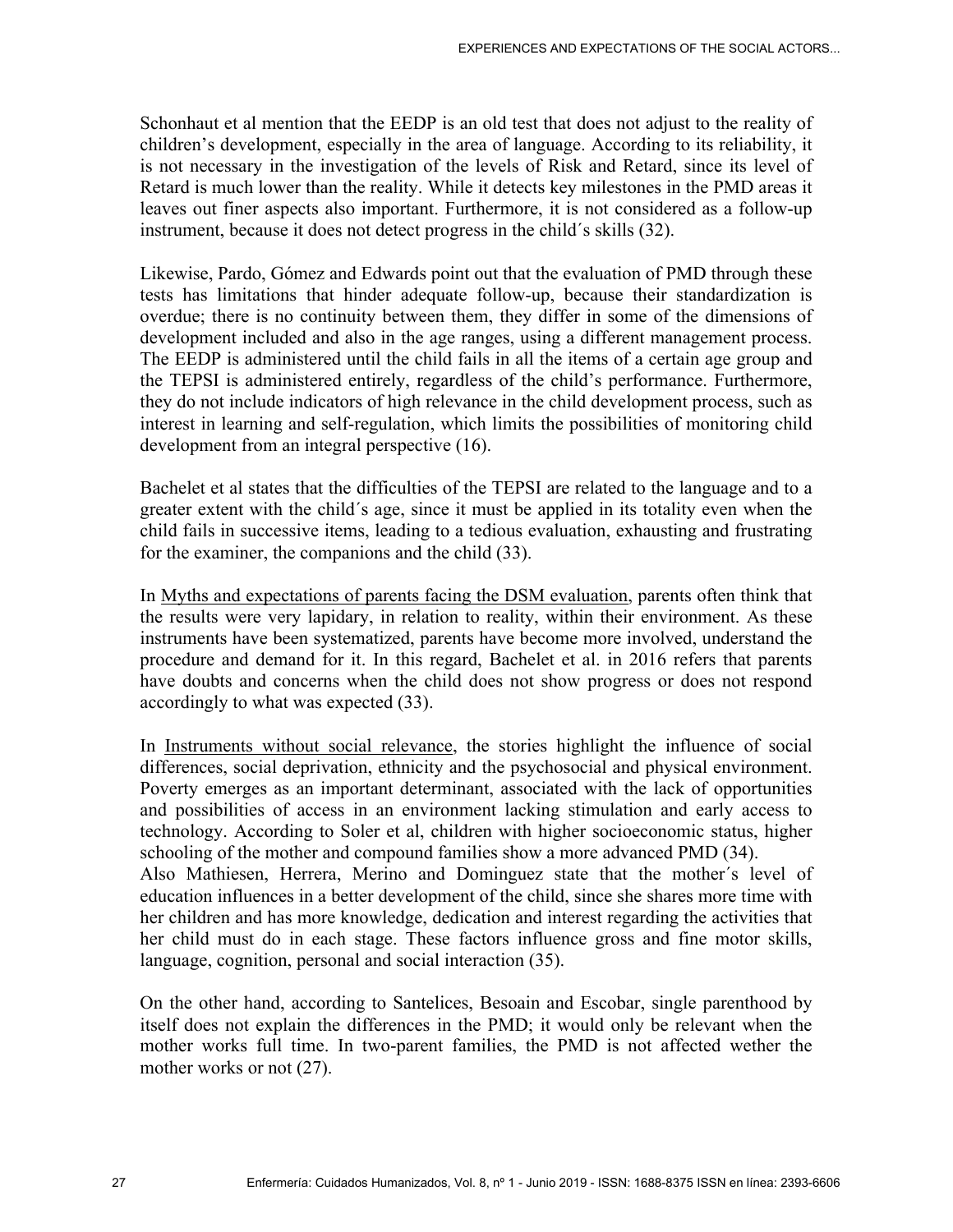Schonhaut et al mention that the EEDP is an old test that does not adjust to the reality of children's development, especially in the area of language. According to its reliability, it is not necessary in the investigation of the levels of Risk and Retard, since its level of Retard is much lower than the reality. While it detects key milestones in the PMD areas it leaves out finer aspects also important. Furthermore, it is not considered as a follow-up instrument, because it does not detect progress in the child´s skills (32).

Likewise, Pardo, Gómez and Edwards point out that the evaluation of PMD through these tests has limitations that hinder adequate follow-up, because their standardization is overdue; there is no continuity between them, they differ in some of the dimensions of development included and also in the age ranges, using a different management process. The EEDP is administered until the child fails in all the items of a certain age group and the TEPSI is administered entirely, regardless of the child's performance. Furthermore, they do not include indicators of high relevance in the child development process, such as interest in learning and self-regulation, which limits the possibilities of monitoring child development from an integral perspective (16).

Bachelet et al states that the difficulties of the TEPSI are related to the language and to a greater extent with the child´s age, since it must be applied in its totality even when the child fails in successive items, leading to a tedious evaluation, exhausting and frustrating for the examiner, the companions and the child (33).

In Myths and expectations of parents facing the DSM evaluation, parents often think that the results were very lapidary, in relation to reality, within their environment. As these instruments have been systematized, parents have become more involved, understand the procedure and demand for it. In this regard, Bachelet et al. in 2016 refers that parents have doubts and concerns when the child does not show progress or does not respond accordingly to what was expected (33).

In Instruments without social relevance, the stories highlight the influence of social differences, social deprivation, ethnicity and the psychosocial and physical environment. Poverty emerges as an important determinant, associated with the lack of opportunities and possibilities of access in an environment lacking stimulation and early access to technology. According to Soler et al, children with higher socioeconomic status, higher schooling of the mother and compound families show a more advanced PMD (34). Also Mathiesen, Herrera, Merino and Dominguez state that the mother´s level of education influences in a better development of the child, since she shares more time with her children and has more knowledge, dedication and interest regarding the activities that her child must do in each stage. These factors influence gross and fine motor skills, language, cognition, personal and social interaction (35).

On the other hand, according to Santelices, Besoain and Escobar, single parenthood by itself does not explain the differences in the PMD; it would only be relevant when the mother works full time. In two-parent families, the PMD is not affected wether the mother works or not (27).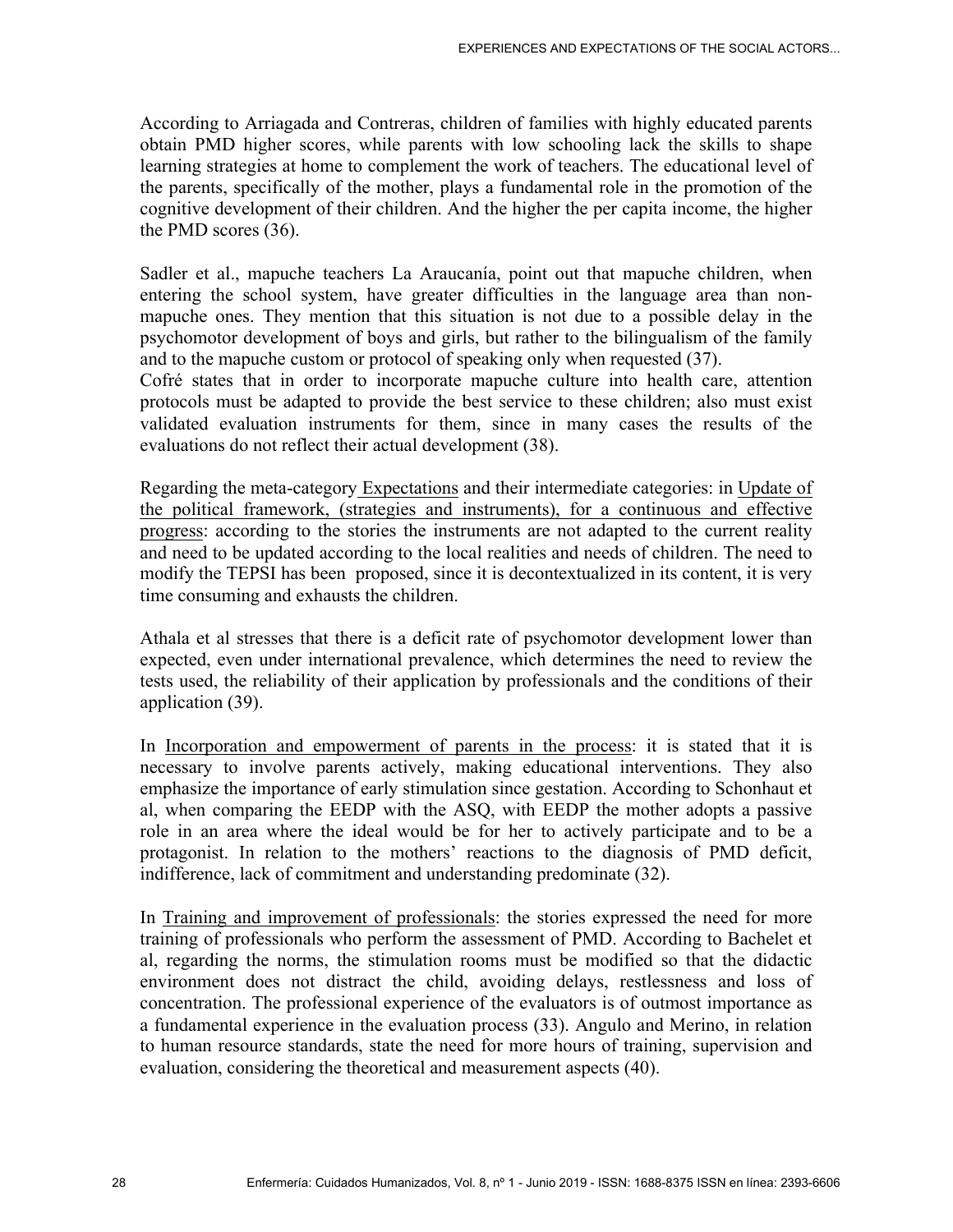According to Arriagada and Contreras, children of families with highly educated parents obtain PMD higher scores, while parents with low schooling lack the skills to shape learning strategies at home to complement the work of teachers. The educational level of the parents, specifically of the mother, plays a fundamental role in the promotion of the cognitive development of their children. And the higher the per capita income, the higher the PMD scores (36).

Sadler et al., mapuche teachers La Araucanía, point out that mapuche children, when entering the school system, have greater difficulties in the language area than nonmapuche ones. They mention that this situation is not due to a possible delay in the psychomotor development of boys and girls, but rather to the bilingualism of the family and to the mapuche custom or protocol of speaking only when requested (37).

Cofré states that in order to incorporate mapuche culture into health care, attention protocols must be adapted to provide the best service to these children; also must exist validated evaluation instruments for them, since in many cases the results of the evaluations do not reflect their actual development (38).

Regarding the meta-category Expectations and their intermediate categories: in Update of the political framework, (strategies and instruments), for a continuous and effective progress: according to the stories the instruments are not adapted to the current reality and need to be updated according to the local realities and needs of children. The need to modify the TEPSI has been proposed, since it is decontextualized in its content, it is very time consuming and exhausts the children.

Athala et al stresses that there is a deficit rate of psychomotor development lower than expected, even under international prevalence, which determines the need to review the tests used, the reliability of their application by professionals and the conditions of their application (39).

In Incorporation and empowerment of parents in the process: it is stated that it is necessary to involve parents actively, making educational interventions. They also emphasize the importance of early stimulation since gestation. According to Schonhaut et al, when comparing the EEDP with the ASQ, with EEDP the mother adopts a passive role in an area where the ideal would be for her to actively participate and to be a protagonist. In relation to the mothers' reactions to the diagnosis of PMD deficit, indifference, lack of commitment and understanding predominate (32).

In Training and improvement of professionals: the stories expressed the need for more training of professionals who perform the assessment of PMD. According to Bachelet et al, regarding the norms, the stimulation rooms must be modified so that the didactic environment does not distract the child, avoiding delays, restlessness and loss of concentration. The professional experience of the evaluators is of outmost importance as a fundamental experience in the evaluation process (33). Angulo and Merino, in relation to human resource standards, state the need for more hours of training, supervision and evaluation, considering the theoretical and measurement aspects (40).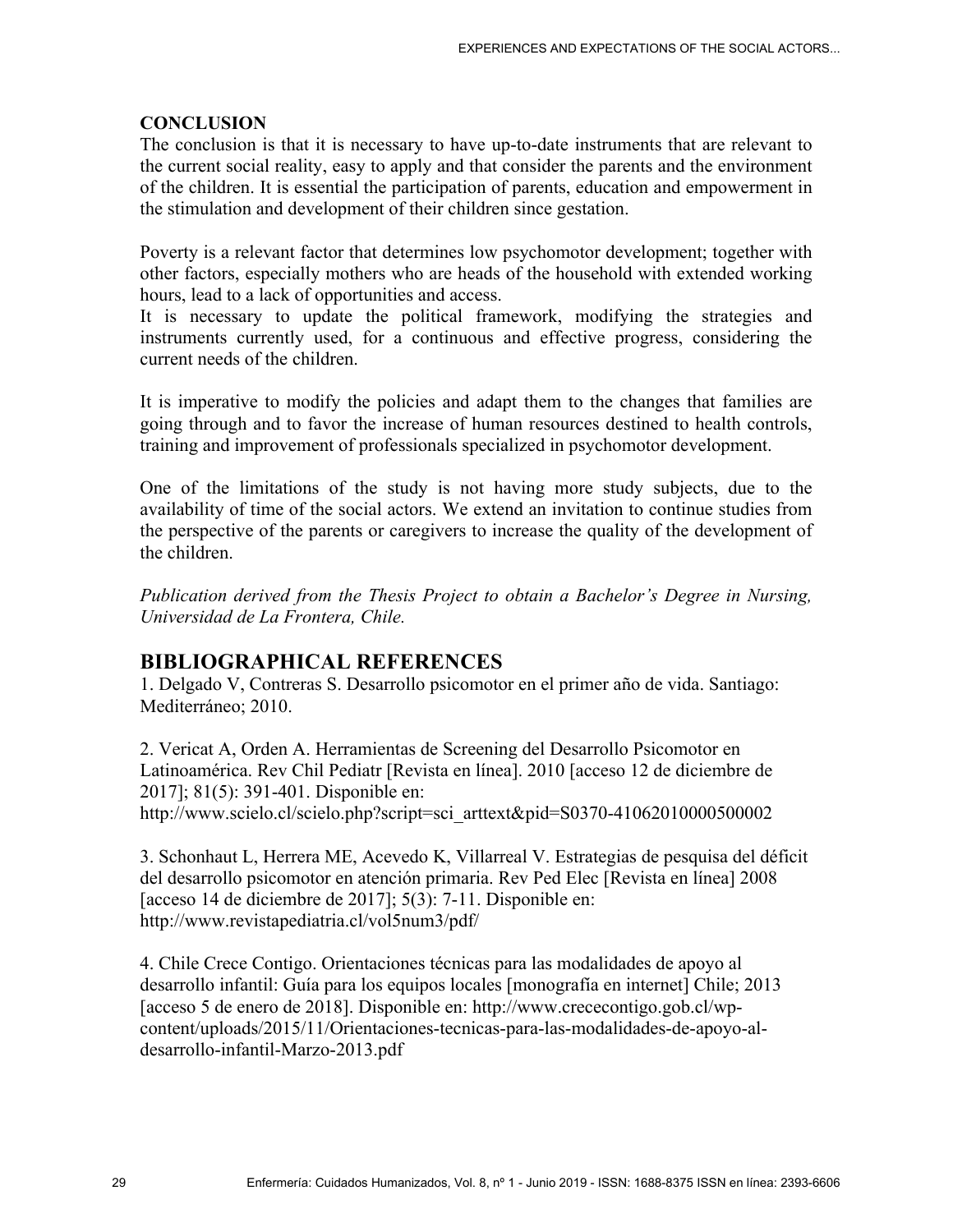### **CONCLUSION**

The conclusion is that it is necessary to have up-to-date instruments that are relevant to the current social reality, easy to apply and that consider the parents and the environment of the children. It is essential the participation of parents, education and empowerment in the stimulation and development of their children since gestation.

Poverty is a relevant factor that determines low psychomotor development; together with other factors, especially mothers who are heads of the household with extended working hours, lead to a lack of opportunities and access.

It is necessary to update the political framework, modifying the strategies and instruments currently used, for a continuous and effective progress, considering the current needs of the children.

It is imperative to modify the policies and adapt them to the changes that families are going through and to favor the increase of human resources destined to health controls, training and improvement of professionals specialized in psychomotor development.

One of the limitations of the study is not having more study subjects, due to the availability of time of the social actors. We extend an invitation to continue studies from the perspective of the parents or caregivers to increase the quality of the development of the children.

*Publication derived from the Thesis Project to obtain a Bachelor's Degree in Nursing, Universidad de La Frontera, Chile.* 

# **BIBLIOGRAPHICAL REFERENCES**

1. Delgado V, Contreras S. Desarrollo psicomotor en el primer año de vida. Santiago: Mediterráneo; 2010.

2. Vericat A, Orden A. Herramientas de Screening del Desarrollo Psicomotor en Latinoamérica. Rev Chil Pediatr [Revista en línea]. 2010 [acceso 12 de diciembre de 2017]; 81(5): 391-401. Disponible en: http://www.scielo.cl/scielo.php?script=sci\_arttext&pid=S0370-41062010000500002

3. Schonhaut L, Herrera ME, Acevedo K, Villarreal V. Estrategias de pesquisa del déficit del desarrollo psicomotor en atención primaria. Rev Ped Elec [Revista en línea] 2008 [acceso 14 de diciembre de 2017]; 5(3): 7-11. Disponible en: http://www.revistapediatria.cl/vol5num3/pdf/

4. Chile Crece Contigo. Orientaciones técnicas para las modalidades de apoyo al desarrollo infantil: Guía para los equipos locales [monografía en internet] Chile; 2013 [acceso 5 de enero de 2018]. Disponible en: http://www.crececontigo.gob.cl/wpcontent/uploads/2015/11/Orientaciones-tecnicas-para-las-modalidades-de-apoyo-aldesarrollo-infantil-Marzo-2013.pdf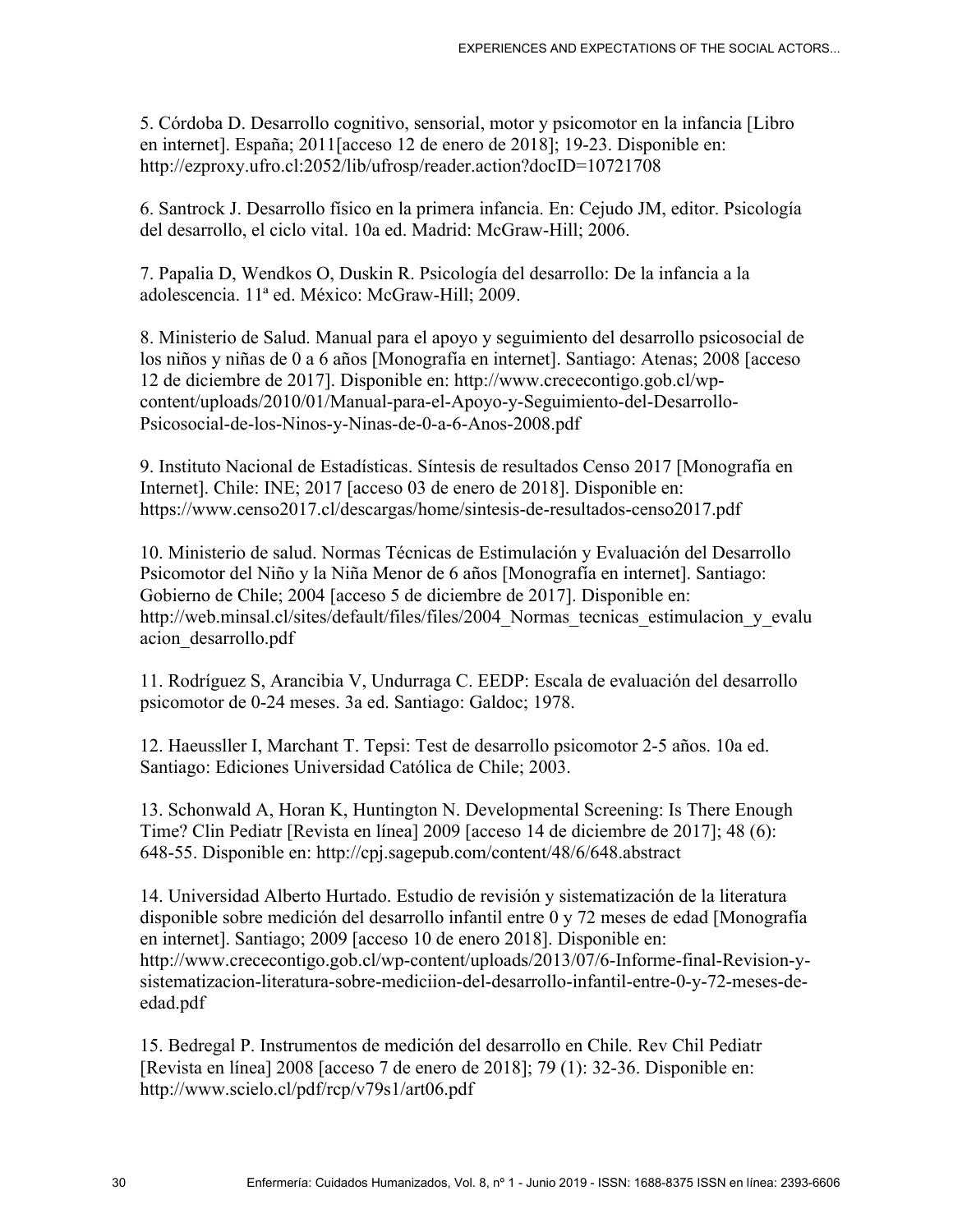5. Córdoba D. Desarrollo cognitivo, sensorial, motor y psicomotor en la infancia [Libro en internet]. España; 2011[acceso 12 de enero de 2018]; 19-23. Disponible en: http://ezproxy.ufro.cl:2052/lib/ufrosp/reader.action?docID=10721708

6. Santrock J. Desarrollo físico en la primera infancia. En: Cejudo JM, editor. Psicología del desarrollo, el ciclo vital. 10a ed. Madrid: McGraw-Hill; 2006.

7. Papalia D, Wendkos O, Duskin R. Psicología del desarrollo: De la infancia a la adolescencia. 11ª ed. México: McGraw-Hill; 2009.

8. Ministerio de Salud. Manual para el apoyo y seguimiento del desarrollo psicosocial de los niños y niñas de 0 a 6 años [Monografía en internet]. Santiago: Atenas; 2008 [acceso 12 de diciembre de 2017]. Disponible en: http://www.crececontigo.gob.cl/wpcontent/uploads/2010/01/Manual-para-el-Apoyo-y-Seguimiento-del-Desarrollo-Psicosocial-de-los-Ninos-y-Ninas-de-0-a-6-Anos-2008.pdf

9. Instituto Nacional de Estadísticas. Síntesis de resultados Censo 2017 [Monografía en Internet]. Chile: INE; 2017 [acceso 03 de enero de 2018]. Disponible en: https://www.censo2017.cl/descargas/home/sintesis-de-resultados-censo2017.pdf

10. Ministerio de salud. Normas Técnicas de Estimulación y Evaluación del Desarrollo Psicomotor del Niño y la Niña Menor de 6 años [Monografía en internet]. Santiago: Gobierno de Chile; 2004 [acceso 5 de diciembre de 2017]. Disponible en: http://web.minsal.cl/sites/default/files/files/2004 Normas tecnicas estimulacion y evalu acion\_desarrollo.pdf

11. Rodríguez S, Arancibia V, Undurraga C. EEDP: Escala de evaluación del desarrollo psicomotor de 0-24 meses. 3a ed. Santiago: Galdoc; 1978.

12. Haeussller I, Marchant T. Tepsi: Test de desarrollo psicomotor 2-5 años. 10a ed. Santiago: Ediciones Universidad Católica de Chile; 2003.

13. Schonwald A, Horan K, Huntington N. Developmental Screening: Is There Enough Time? Clin Pediatr [Revista en línea] 2009 [acceso 14 de diciembre de 2017]; 48 (6): 648-55. Disponible en: http://cpj.sagepub.com/content/48/6/648.abstract

14. Universidad Alberto Hurtado. Estudio de revisión y sistematización de la literatura disponible sobre medición del desarrollo infantil entre 0 y 72 meses de edad [Monografía en internet]. Santiago; 2009 [acceso 10 de enero 2018]. Disponible en: http://www.crececontigo.gob.cl/wp-content/uploads/2013/07/6-Informe-final-Revision-ysistematizacion-literatura-sobre-mediciion-del-desarrollo-infantil-entre-0-y-72-meses-deedad.pdf

15. Bedregal P. Instrumentos de medición del desarrollo en Chile. Rev Chil Pediatr [Revista en línea] 2008 [acceso 7 de enero de 2018]; 79 (1): 32-36. Disponible en: http://www.scielo.cl/pdf/rcp/v79s1/art06.pdf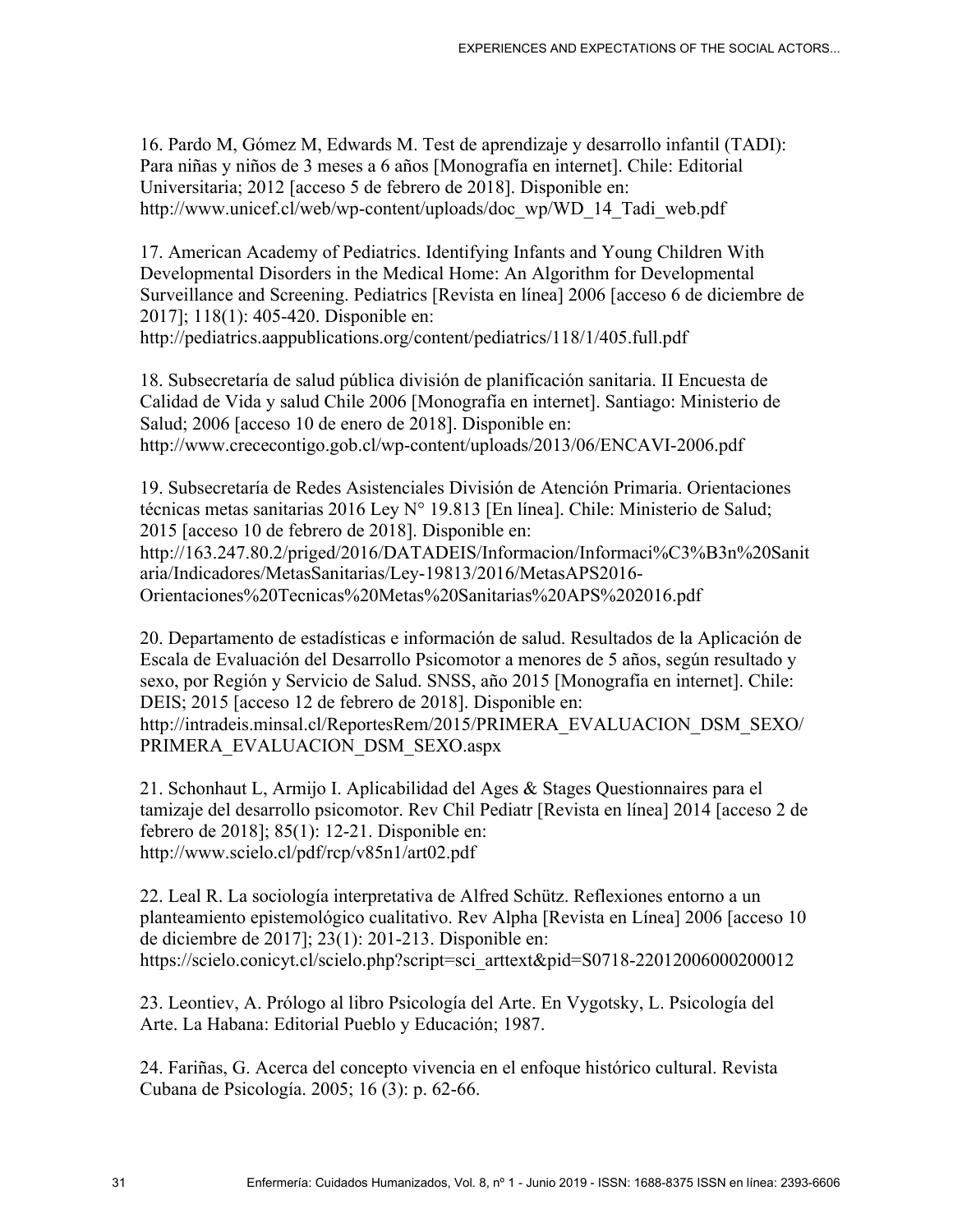16. Pardo M, Gómez M, Edwards M. Test de aprendizaje y desarrollo infantil (TADI): Para niñas y niños de 3 meses a 6 años [Monografía en internet]. Chile: Editorial Universitaria; 2012 [acceso 5 de febrero de 2018]. Disponible en: http://www.unicef.cl/web/wp-content/uploads/doc\_wp/WD\_14\_Tadi\_web.pdf

17. American Academy of Pediatrics. Identifying Infants and Young Children With Developmental Disorders in the Medical Home: An Algorithm for Developmental Surveillance and Screening. Pediatrics [Revista en línea] 2006 [acceso 6 de diciembre de 2017]; 118(1): 405-420. Disponible en:

http://pediatrics.aappublications.org/content/pediatrics/118/1/405.full.pdf

18. Subsecretaría de salud pública división de planificación sanitaria. II Encuesta de Calidad de Vida y salud Chile 2006 [Monografía en internet]. Santiago: Ministerio de Salud; 2006 [acceso 10 de enero de 2018]. Disponible en: http://www.crececontigo.gob.cl/wp-content/uploads/2013/06/ENCAVI-2006.pdf

19. Subsecretaría de Redes Asistenciales División de Atención Primaria. Orientaciones técnicas metas sanitarias 2016 Ley N° 19.813 [En línea]. Chile: Ministerio de Salud; 2015 [acceso 10 de febrero de 2018]. Disponible en: http://163.247.80.2/priged/2016/DATADEIS/Informacion/Informaci%C3%B3n%20Sanit aria/Indicadores/MetasSanitarias/Ley-19813/2016/MetasAPS2016- Orientaciones%20Tecnicas%20Metas%20Sanitarias%20APS%202016.pdf

20. Departamento de estadísticas e información de salud. Resultados de la Aplicación de Escala de Evaluación del Desarrollo Psicomotor a menores de 5 años, según resultado y sexo, por Región y Servicio de Salud. SNSS, año 2015 [Monografía en internet]. Chile: DEIS; 2015 [acceso 12 de febrero de 2018]. Disponible en: http://intradeis.minsal.cl/ReportesRem/2015/PRIMERA\_EVALUACION\_DSM\_SEXO/ PRIMERA\_EVALUACION\_DSM\_SEXO.aspx

21. Schonhaut L, Armijo I. Aplicabilidad del Ages & Stages Questionnaires para el tamizaje del desarrollo psicomotor. Rev Chil Pediatr [Revista en línea] 2014 [acceso 2 de febrero de 2018]; 85(1): 12-21. Disponible en: http://www.scielo.cl/pdf/rcp/v85n1/art02.pdf

22. Leal R. La sociología interpretativa de Alfred Schütz. Reflexiones entorno a un planteamiento epistemológico cualitativo. Rev Alpha [Revista en Línea] 2006 [acceso 10 de diciembre de 2017]; 23(1): 201-213. Disponible en: https://scielo.conicyt.cl/scielo.php?script=sci\_arttext&pid=S0718-22012006000200012

23. Leontiev, A. Prólogo al libro Psicología del Arte. En Vygotsky, L. Psicología del Arte. La Habana: Editorial Pueblo y Educación; 1987.

24. Fariñas, G. Acerca del concepto vivencia en el enfoque histórico cultural. Revista Cubana de Psicología. 2005; 16 (3): p. 62-66.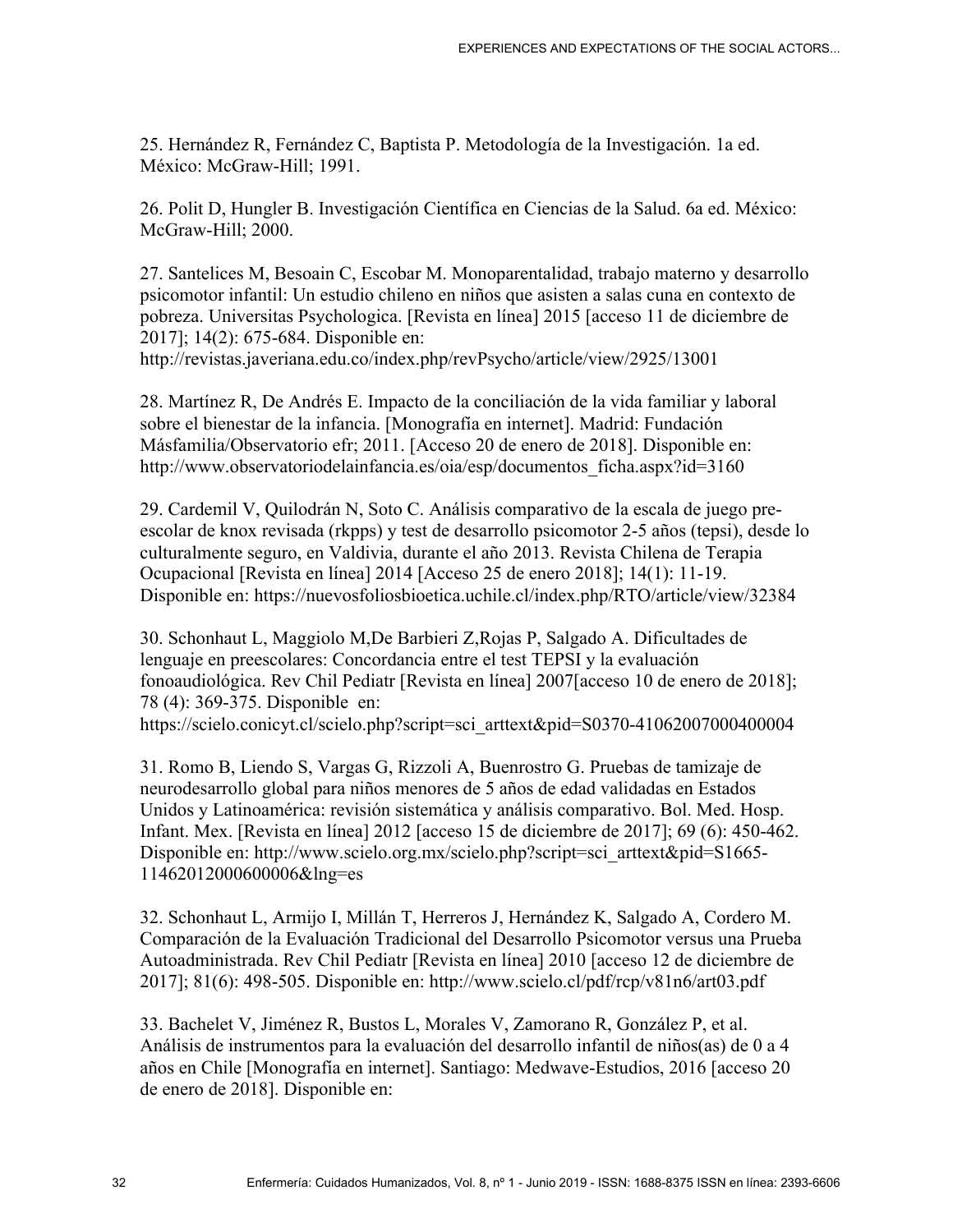25. Hernández R, Fernández C, Baptista P. Metodología de la Investigación. 1a ed. México: McGraw-Hill; 1991.

26. Polit D, Hungler B. Investigación Científica en Ciencias de la Salud. 6a ed. México: McGraw-Hill; 2000.

27. Santelices M, Besoain C, Escobar M. Monoparentalidad, trabajo materno y desarrollo psicomotor infantil: Un estudio chileno en niños que asisten a salas cuna en contexto de pobreza. Universitas Psychologica. [Revista en línea] 2015 [acceso 11 de diciembre de 2017]; 14(2): 675-684. Disponible en:

http://revistas.javeriana.edu.co/index.php/revPsycho/article/view/2925/13001

28. Martínez R, De Andrés E. Impacto de la conciliación de la vida familiar y laboral sobre el bienestar de la infancia. [Monografía en internet]. Madrid: Fundación Másfamilia/Observatorio efr; 2011. [Acceso 20 de enero de 2018]. Disponible en: http://www.observatoriodelainfancia.es/oia/esp/documentos ficha.aspx?id=3160

29. Cardemil V, Quilodrán N, Soto C. Análisis comparativo de la escala de juego preescolar de knox revisada (rkpps) y test de desarrollo psicomotor 2-5 años (tepsi), desde lo culturalmente seguro, en Valdivia, durante el año 2013. Revista Chilena de Terapia Ocupacional [Revista en línea] 2014 [Acceso 25 de enero 2018]; 14(1): 11-19. Disponible en: https://nuevosfoliosbioetica.uchile.cl/index.php/RTO/article/view/32384

30. Schonhaut L, Maggiolo M,De Barbieri Z,Rojas P, Salgado A. Dificultades de lenguaje en preescolares: Concordancia entre el test TEPSI y la evaluación fonoaudiológica. Rev Chil Pediatr [Revista en línea] 2007[acceso 10 de enero de 2018]; 78 (4): 369-375. Disponible en: https://scielo.conicyt.cl/scielo.php?script=sci\_arttext&pid=S0370-41062007000400004

31. Romo B, Liendo S, Vargas G, Rizzoli A, Buenrostro G. Pruebas de tamizaje de neurodesarrollo global para niños menores de 5 años de edad validadas en Estados Unidos y Latinoamérica: revisión sistemática y análisis comparativo. Bol. Med. Hosp. Infant. Mex. [Revista en línea] 2012 [acceso 15 de diciembre de 2017]; 69 (6): 450-462. Disponible en: http://www.scielo.org.mx/scielo.php?script=sci\_arttext&pid=S1665-11462012000600006&lng=es

32. Schonhaut L, Armijo I, Millán T, Herreros J, Hernández K, Salgado A, Cordero M. Comparación de la Evaluación Tradicional del Desarrollo Psicomotor versus una Prueba Autoadministrada. Rev Chil Pediatr [Revista en línea] 2010 [acceso 12 de diciembre de 2017]; 81(6): 498-505. Disponible en: http://www.scielo.cl/pdf/rcp/v81n6/art03.pdf

33. Bachelet V, Jiménez R, Bustos L, Morales V, Zamorano R, González P, et al. Análisis de instrumentos para la evaluación del desarrollo infantil de niños(as) de 0 a 4 años en Chile [Monografía en internet]. Santiago: Medwave-Estudios, 2016 [acceso 20 de enero de 2018]. Disponible en: